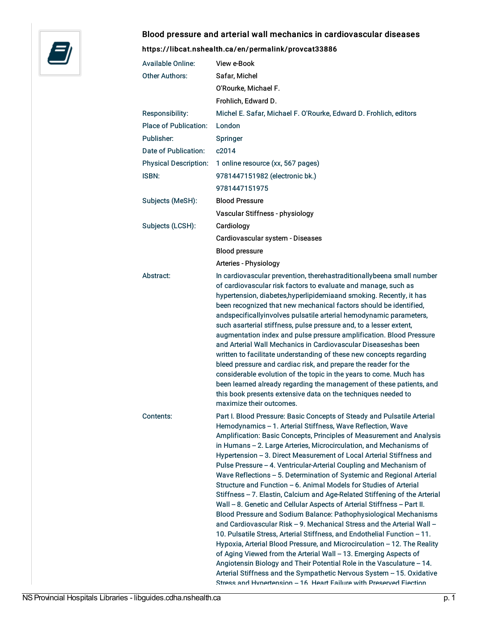

## Blood pressure and arterial wall mechanics in cardiovascular diseases

<https://libcat.nshealth.ca/en/permalink/provcat33886>

| <b>Available Online:</b>     | View e-Book                                                                                                                                                                                                                                                                                                                                                                                                                                                                                                                                                                                                                                                                                                                                                                                                                                                                                                                                                                                                                                                                                                                                                                                                                                                                                                                                  |
|------------------------------|----------------------------------------------------------------------------------------------------------------------------------------------------------------------------------------------------------------------------------------------------------------------------------------------------------------------------------------------------------------------------------------------------------------------------------------------------------------------------------------------------------------------------------------------------------------------------------------------------------------------------------------------------------------------------------------------------------------------------------------------------------------------------------------------------------------------------------------------------------------------------------------------------------------------------------------------------------------------------------------------------------------------------------------------------------------------------------------------------------------------------------------------------------------------------------------------------------------------------------------------------------------------------------------------------------------------------------------------|
| Other Authors:               | Safar, Michel                                                                                                                                                                                                                                                                                                                                                                                                                                                                                                                                                                                                                                                                                                                                                                                                                                                                                                                                                                                                                                                                                                                                                                                                                                                                                                                                |
|                              | O'Rourke, Michael F.                                                                                                                                                                                                                                                                                                                                                                                                                                                                                                                                                                                                                                                                                                                                                                                                                                                                                                                                                                                                                                                                                                                                                                                                                                                                                                                         |
|                              | Frohlich, Edward D.                                                                                                                                                                                                                                                                                                                                                                                                                                                                                                                                                                                                                                                                                                                                                                                                                                                                                                                                                                                                                                                                                                                                                                                                                                                                                                                          |
| Responsibility:              | Michel E. Safar, Michael F. O'Rourke, Edward D. Frohlich, editors                                                                                                                                                                                                                                                                                                                                                                                                                                                                                                                                                                                                                                                                                                                                                                                                                                                                                                                                                                                                                                                                                                                                                                                                                                                                            |
| <b>Place of Publication:</b> | London                                                                                                                                                                                                                                                                                                                                                                                                                                                                                                                                                                                                                                                                                                                                                                                                                                                                                                                                                                                                                                                                                                                                                                                                                                                                                                                                       |
| Publisher:                   | Springer                                                                                                                                                                                                                                                                                                                                                                                                                                                                                                                                                                                                                                                                                                                                                                                                                                                                                                                                                                                                                                                                                                                                                                                                                                                                                                                                     |
| Date of Publication:         | c2014                                                                                                                                                                                                                                                                                                                                                                                                                                                                                                                                                                                                                                                                                                                                                                                                                                                                                                                                                                                                                                                                                                                                                                                                                                                                                                                                        |
| <b>Physical Description:</b> | 1 online resource (xx, 567 pages)                                                                                                                                                                                                                                                                                                                                                                                                                                                                                                                                                                                                                                                                                                                                                                                                                                                                                                                                                                                                                                                                                                                                                                                                                                                                                                            |
| ISBN:                        | 9781447151982 (electronic bk.)                                                                                                                                                                                                                                                                                                                                                                                                                                                                                                                                                                                                                                                                                                                                                                                                                                                                                                                                                                                                                                                                                                                                                                                                                                                                                                               |
|                              | 9781447151975                                                                                                                                                                                                                                                                                                                                                                                                                                                                                                                                                                                                                                                                                                                                                                                                                                                                                                                                                                                                                                                                                                                                                                                                                                                                                                                                |
| Subjects (MeSH):             | <b>Blood Pressure</b>                                                                                                                                                                                                                                                                                                                                                                                                                                                                                                                                                                                                                                                                                                                                                                                                                                                                                                                                                                                                                                                                                                                                                                                                                                                                                                                        |
|                              | Vascular Stiffness - physiology                                                                                                                                                                                                                                                                                                                                                                                                                                                                                                                                                                                                                                                                                                                                                                                                                                                                                                                                                                                                                                                                                                                                                                                                                                                                                                              |
| Subjects (LCSH):             | Cardiology                                                                                                                                                                                                                                                                                                                                                                                                                                                                                                                                                                                                                                                                                                                                                                                                                                                                                                                                                                                                                                                                                                                                                                                                                                                                                                                                   |
|                              | Cardiovascular system - Diseases                                                                                                                                                                                                                                                                                                                                                                                                                                                                                                                                                                                                                                                                                                                                                                                                                                                                                                                                                                                                                                                                                                                                                                                                                                                                                                             |
|                              | <b>Blood pressure</b>                                                                                                                                                                                                                                                                                                                                                                                                                                                                                                                                                                                                                                                                                                                                                                                                                                                                                                                                                                                                                                                                                                                                                                                                                                                                                                                        |
|                              | Arteries - Physiology                                                                                                                                                                                                                                                                                                                                                                                                                                                                                                                                                                                                                                                                                                                                                                                                                                                                                                                                                                                                                                                                                                                                                                                                                                                                                                                        |
| Abstract:                    | In cardiovascular prevention, therehastraditionallybeena small number<br>of cardiovascular risk factors to evaluate and manage, such as<br>hypertension, diabetes, hyperlipidemiaand smoking. Recently, it has<br>been recognized that new mechanical factors should be identified,<br>andspecificallyinvolves pulsatile arterial hemodynamic parameters,<br>such asarterial stiffness, pulse pressure and, to a lesser extent,<br>augmentation index and pulse pressure amplification. Blood Pressure<br>and Arterial Wall Mechanics in Cardiovascular Diseaseshas been<br>written to facilitate understanding of these new concepts regarding<br>bleed pressure and cardiac risk, and prepare the reader for the<br>considerable evolution of the topic in the years to come. Much has<br>been learned already regarding the management of these patients, and<br>this book presents extensive data on the techniques needed to<br>maximize their outcomes.                                                                                                                                                                                                                                                                                                                                                                                |
| Contents:                    | Part I. Blood Pressure: Basic Concepts of Steady and Pulsatile Arterial<br>Hemodynamics - 1. Arterial Stiffness, Wave Reflection, Wave<br>Amplification: Basic Concepts, Principles of Measurement and Analysis<br>in Humans - 2. Large Arteries, Microcirculation, and Mechanisms of<br>Hypertension - 3. Direct Measurement of Local Arterial Stiffness and<br>Pulse Pressure - 4. Ventricular-Arterial Coupling and Mechanism of<br>Wave Reflections - 5. Determination of Systemic and Regional Arterial<br>Structure and Function - 6. Animal Models for Studies of Arterial<br>Stiffness - 7. Elastin, Calcium and Age-Related Stiffening of the Arterial<br>Wall - 8. Genetic and Cellular Aspects of Arterial Stiffness - Part II.<br>Blood Pressure and Sodium Balance: Pathophysiological Mechanisms<br>and Cardiovascular Risk - 9. Mechanical Stress and the Arterial Wall -<br>10. Pulsatile Stress, Arterial Stiffness, and Endothelial Function - 11.<br>Hypoxia, Arterial Blood Pressure, and Microcirculation - 12. The Reality<br>of Aging Viewed from the Arterial Wall - 13. Emerging Aspects of<br>Angiotensin Biology and Their Potential Role in the Vasculature - 14.<br>Arterial Stiffness and the Sympathetic Nervous System - 15. Oxidative<br>Strees and Hynertension - 16 Heart Failure with Presenved Fiection |